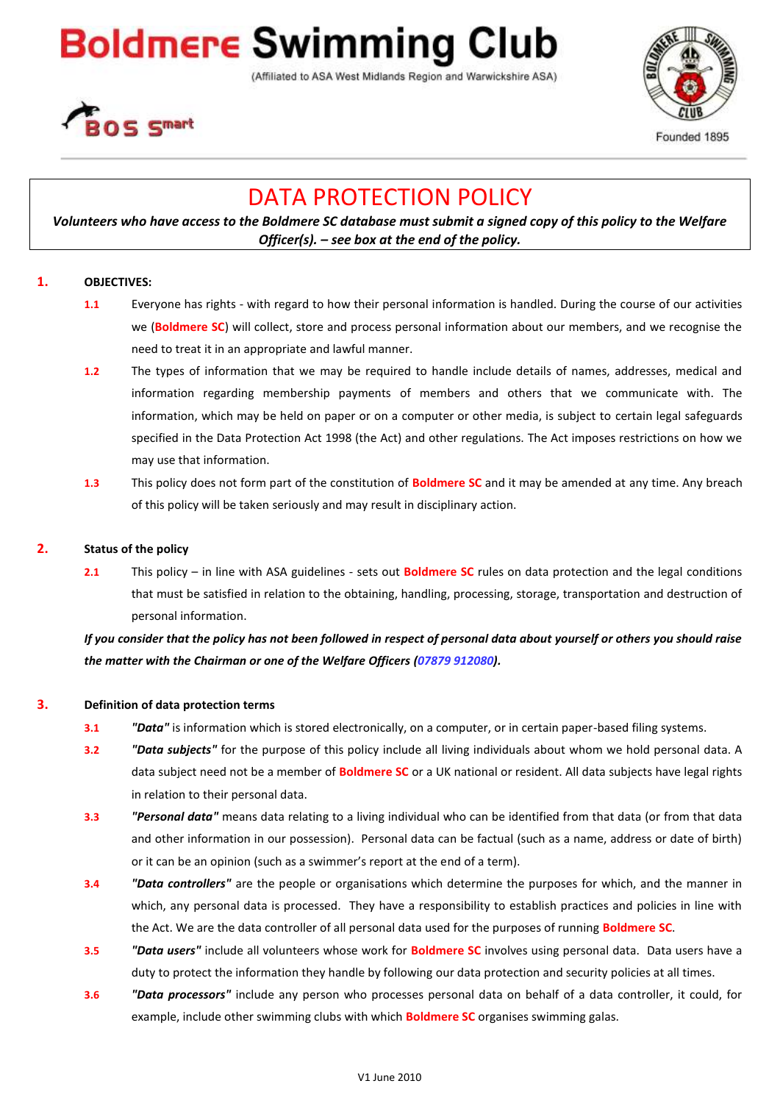**Boldmere Swimming Club** 

**BOS** S<sup>mart</sup>



Founded 1895

# DATA PROTECTION POLICY

(Affiliated to ASA West Midlands Region and Warwickshire ASA)

*Volunteers who have access to the Boldmere SC database must submit a signed copy of this policy to the Welfare Officer(s). – see box at the end of the policy.*

# **1. OBJECTIVES:**

- **1.1** Everyone has rights with regard to how their personal information is handled. During the course of our activities we (**Boldmere SC**) will collect, store and process personal information about our members, and we recognise the need to treat it in an appropriate and lawful manner.
- **1.2** The types of information that we may be required to handle include details of names, addresses, medical and information regarding membership payments of members and others that we communicate with. The information, which may be held on paper or on a computer or other media, is subject to certain legal safeguards specified in the Data Protection Act 1998 (the Act) and other regulations. The Act imposes restrictions on how we may use that information.
- **1.3** This policy does not form part of the constitution of **Boldmere SC** and it may be amended at any time. Any breach of this policy will be taken seriously and may result in disciplinary action.

# **2. Status of the policy**

**2.1** This policy – in line with ASA guidelines - sets out **Boldmere SC** rules on data protection and the legal conditions that must be satisfied in relation to the obtaining, handling, processing, storage, transportation and destruction of personal information.

*If you consider that the policy has not been followed in respect of personal data about yourself or others you should raise the matter with the Chairman or one of the Welfare Officers (07879 912080).*

# **3. Definition of data protection terms**

- **3.1** *"Data"* is information which is stored electronically, on a computer, or in certain paper-based filing systems.
- **3.2** *"Data subjects"* for the purpose of this policy include all living individuals about whom we hold personal data. A data subject need not be a member of **Boldmere SC** or a UK national or resident. All data subjects have legal rights in relation to their personal data.
- **3.3** *"Personal data"* means data relating to a living individual who can be identified from that data (or from that data and other information in our possession). Personal data can be factual (such as a name, address or date of birth) or it can be an opinion (such as a swimmer's report at the end of a term).
- **3.4** *"Data controllers"* are the people or organisations which determine the purposes for which, and the manner in which, any personal data is processed. They have a responsibility to establish practices and policies in line with the Act. We are the data controller of all personal data used for the purposes of running **Boldmere SC**.
- **3.5** *"Data users"* include all volunteers whose work for **Boldmere SC** involves using personal data. Data users have a duty to protect the information they handle by following our data protection and security policies at all times.
- **3.6** *"Data processors"* include any person who processes personal data on behalf of a data controller, it could, for example, include other swimming clubs with which **Boldmere SC** organises swimming galas.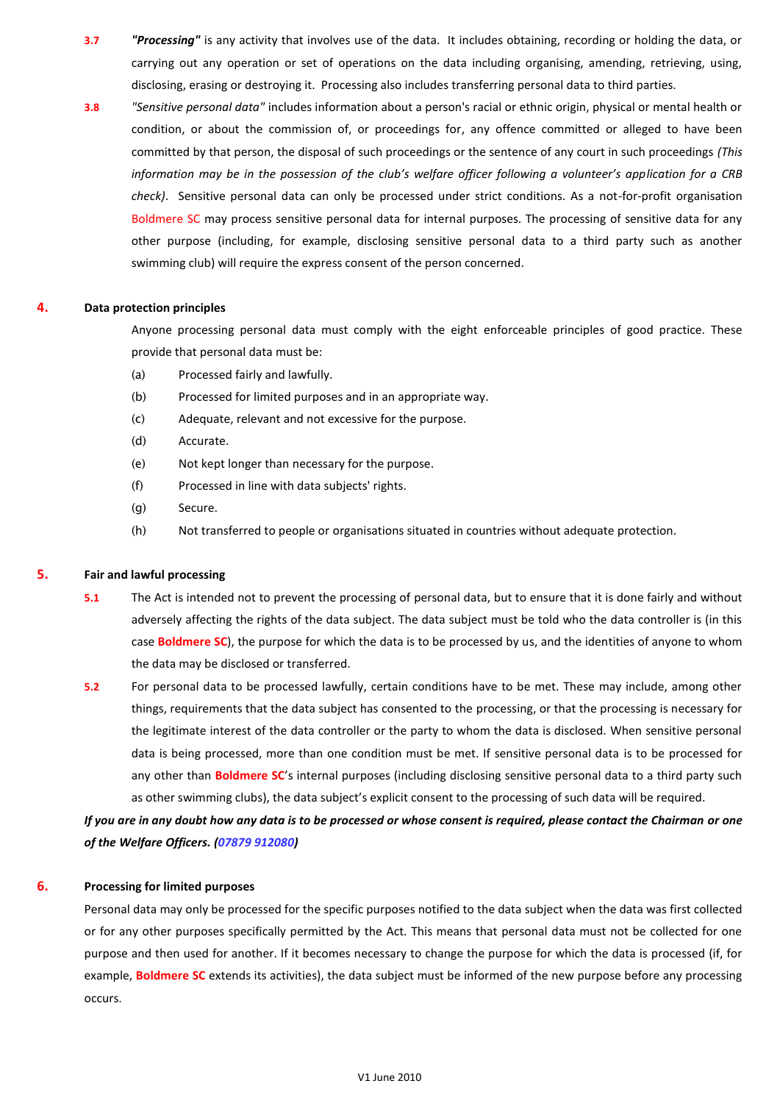- **3.7** *"Processing"* is any activity that involves use of the data. It includes obtaining, recording or holding the data, or carrying out any operation or set of operations on the data including organising, amending, retrieving, using, disclosing, erasing or destroying it. Processing also includes transferring personal data to third parties.
- **3.8** *"Sensitive personal data"* includes information about a person's racial or ethnic origin, physical or mental health or condition, or about the commission of, or proceedings for, any offence committed or alleged to have been committed by that person, the disposal of such proceedings or the sentence of any court in such proceedings *(This information may be in the possession of the club's welfare officer following a volunteer's application for a CRB check)*. Sensitive personal data can only be processed under strict conditions. As a not-for-profit organisation Boldmere SC may process sensitive personal data for internal purposes. The processing of sensitive data for any other purpose (including, for example, disclosing sensitive personal data to a third party such as another swimming club) will require the express consent of the person concerned.

#### **4. Data protection principles**

Anyone processing personal data must comply with the eight enforceable principles of good practice. These provide that personal data must be:

- (a) Processed fairly and lawfully.
- (b) Processed for limited purposes and in an appropriate way.
- (c) Adequate, relevant and not excessive for the purpose.
- (d) Accurate.
- (e) Not kept longer than necessary for the purpose.
- (f) Processed in line with data subjects' rights.
- (g) Secure.
- (h) Not transferred to people or organisations situated in countries without adequate protection.

#### **5. Fair and lawful processing**

- **5.1** The Act is intended not to prevent the processing of personal data, but to ensure that it is done fairly and without adversely affecting the rights of the data subject. The data subject must be told who the data controller is (in this case **Boldmere SC**), the purpose for which the data is to be processed by us, and the identities of anyone to whom the data may be disclosed or transferred.
- **5.2** For personal data to be processed lawfully, certain conditions have to be met. These may include, among other things, requirements that the data subject has consented to the processing, or that the processing is necessary for the legitimate interest of the data controller or the party to whom the data is disclosed. When sensitive personal data is being processed, more than one condition must be met. If sensitive personal data is to be processed for any other than **Boldmere SC**'s internal purposes (including disclosing sensitive personal data to a third party such as other swimming clubs), the data subject's explicit consent to the processing of such data will be required.

# *If you are in any doubt how any data is to be processed or whose consent is required, please contact the Chairman or one of the Welfare Officers. (07879 912080)*

## **6. Processing for limited purposes**

Personal data may only be processed for the specific purposes notified to the data subject when the data was first collected or for any other purposes specifically permitted by the Act. This means that personal data must not be collected for one purpose and then used for another. If it becomes necessary to change the purpose for which the data is processed (if, for example, **Boldmere SC** extends its activities), the data subject must be informed of the new purpose before any processing occurs.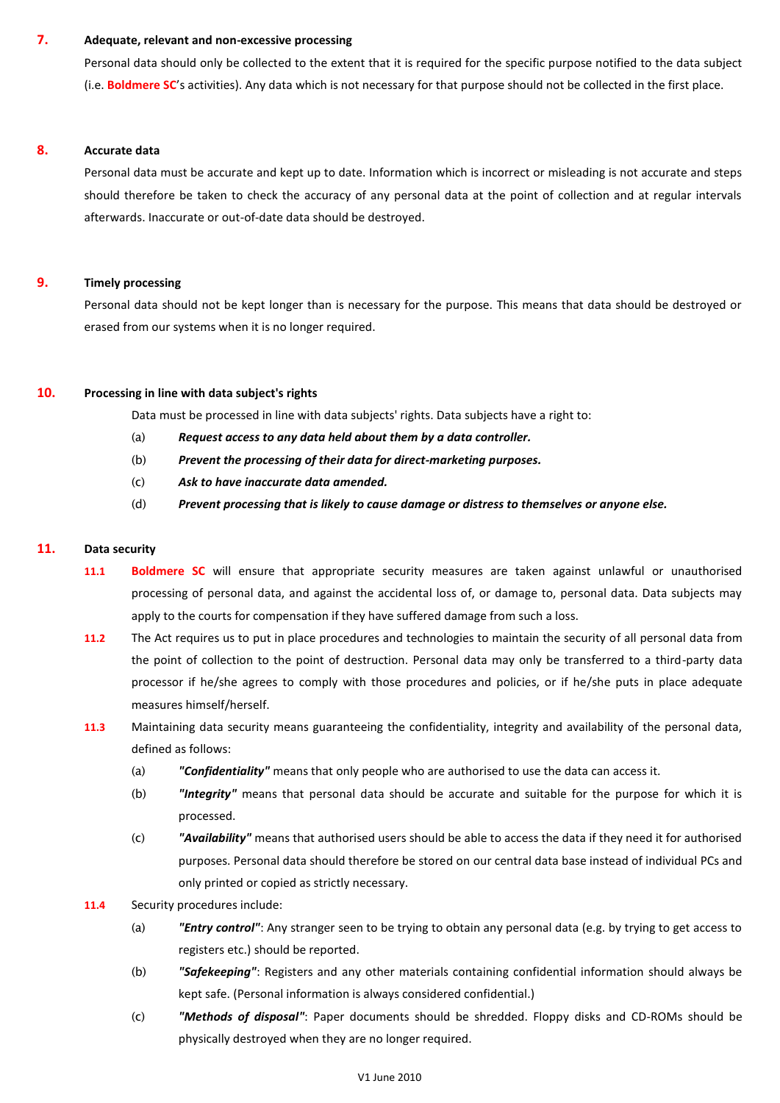#### **7. Adequate, relevant and non-excessive processing**

Personal data should only be collected to the extent that it is required for the specific purpose notified to the data subject (i.e. **Boldmere SC**'s activities). Any data which is not necessary for that purpose should not be collected in the first place.

#### **8. Accurate data**

Personal data must be accurate and kept up to date. Information which is incorrect or misleading is not accurate and steps should therefore be taken to check the accuracy of any personal data at the point of collection and at regular intervals afterwards. Inaccurate or out-of-date data should be destroyed.

#### **9. Timely processing**

Personal data should not be kept longer than is necessary for the purpose. This means that data should be destroyed or erased from our systems when it is no longer required.

# **10. Processing in line with data subject's rights**

Data must be processed in line with data subjects' rights. Data subjects have a right to:

- (a) *Request access to any data held about them by a data controller.*
- (b) *Prevent the processing of their data for direct-marketing purposes.*
- (c) *Ask to have inaccurate data amended.*
- (d) *Prevent processing that is likely to cause damage or distress to themselves or anyone else.*

#### **11. Data security**

- **11.1 Boldmere SC** will ensure that appropriate security measures are taken against unlawful or unauthorised processing of personal data, and against the accidental loss of, or damage to, personal data. Data subjects may apply to the courts for compensation if they have suffered damage from such a loss.
- **11.2** The Act requires us to put in place procedures and technologies to maintain the security of all personal data from the point of collection to the point of destruction. Personal data may only be transferred to a third-party data processor if he/she agrees to comply with those procedures and policies, or if he/she puts in place adequate measures himself/herself.
- **11.3** Maintaining data security means guaranteeing the confidentiality, integrity and availability of the personal data, defined as follows:
	- (a) *"Confidentiality"* means that only people who are authorised to use the data can access it.
	- (b) *"Integrity"* means that personal data should be accurate and suitable for the purpose for which it is processed.
	- (c) *"Availability"* means that authorised users should be able to access the data if they need it for authorised purposes. Personal data should therefore be stored on our central data base instead of individual PCs and only printed or copied as strictly necessary.
- **11.4** Security procedures include:
	- (a) *"Entry control"*: Any stranger seen to be trying to obtain any personal data (e.g. by trying to get access to registers etc.) should be reported.
	- (b) *"Safekeeping"*: Registers and any other materials containing confidential information should always be kept safe. (Personal information is always considered confidential.)
	- (c) *"Methods of disposal"*: Paper documents should be shredded. Floppy disks and CD-ROMs should be physically destroyed when they are no longer required.